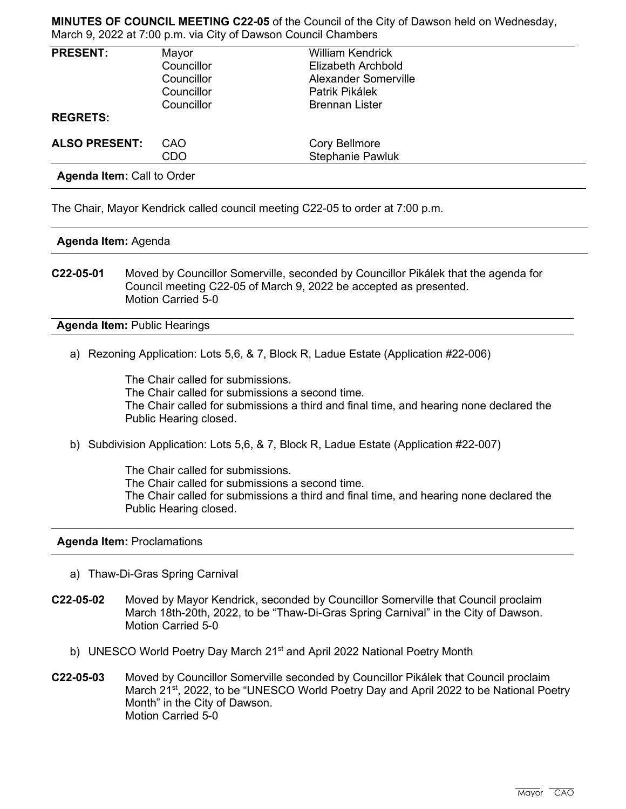**MINUTES OF COUNCIL MEETING C22-05** of the Council of the City of Dawson held on Wednesday, March 9, 2022 at 7:00 p.m. via City of Dawson Council Chambers

| <b>PRESENT:</b><br>Mayor | <b>William Kendrick</b>     |                      |
|--------------------------|-----------------------------|----------------------|
| Councillor               | Elizabeth Archbold          |                      |
| Councillor               | <b>Alexander Somerville</b> |                      |
| Councillor               | Patrik Pikálek              |                      |
| Councillor               | <b>Brennan Lister</b>       |                      |
|                          |                             |                      |
| CAO                      |                             |                      |
| <b>CDO</b>               | <b>Stephanie Pawluk</b>     |                      |
|                          |                             | <b>Cory Bellmore</b> |

**Agenda Item:** Call to Order

The Chair, Mayor Kendrick called council meeting C22-05 to order at 7:00 p.m.

## **Agenda Item:** Agenda

**C22-05-01** Moved by Councillor Somerville, seconded by Councillor Pikálek that the agenda for Council meeting C22-05 of March 9, 2022 be accepted as presented. Motion Carried 5-0

**Agenda Item:** Public Hearings

a) Rezoning Application: Lots 5,6, & 7, Block R, Ladue Estate (Application #22-006)

The Chair called for submissions. The Chair called for submissions a second time. The Chair called for submissions a third and final time, and hearing none declared the Public Hearing closed.

b) Subdivision Application: Lots 5,6, & 7, Block R, Ladue Estate (Application #22-007)

The Chair called for submissions. The Chair called for submissions a second time. The Chair called for submissions a third and final time, and hearing none declared the Public Hearing closed.

## **Agenda Item:** Proclamations

- a) Thaw-Di-Gras Spring Carnival
- **C22-05-02** Moved by Mayor Kendrick, seconded by Councillor Somerville that Council proclaim March 18th-20th, 2022, to be "Thaw-Di-Gras Spring Carnival" in the City of Dawson. Motion Carried 5-0
	- b) UNESCO World Poetry Day March 21<sup>st</sup> and April 2022 National Poetry Month
- **C22-05-03** Moved by Councillor Somerville seconded by Councillor Pikálek that Council proclaim March 21<sup>st</sup>, 2022, to be "UNESCO World Poetry Day and April 2022 to be National Poetry Month" in the City of Dawson. Motion Carried 5-0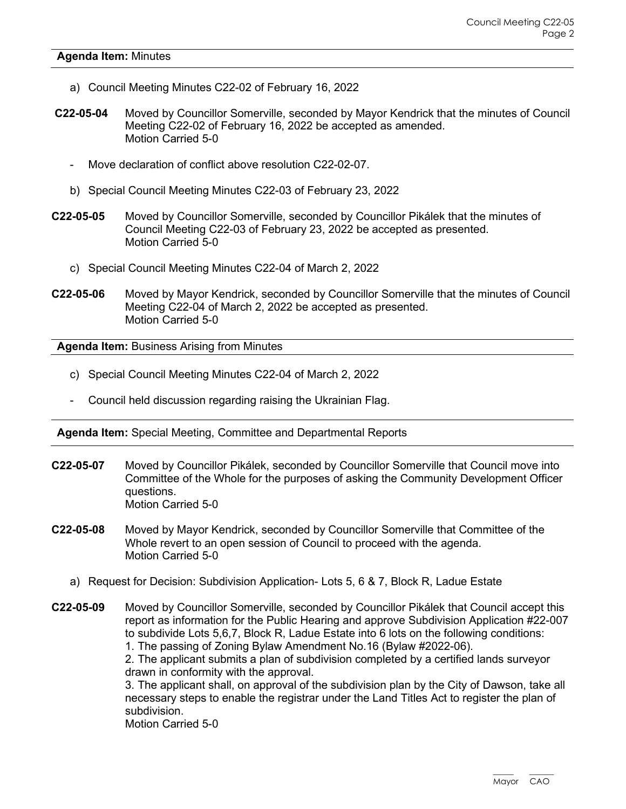## **Agenda Item:** Minutes

- a) Council Meeting Minutes C22-02 of February 16, 2022
- **C22-05-04** Moved by Councillor Somerville, seconded by Mayor Kendrick that the minutes of Council Meeting C22-02 of February 16, 2022 be accepted as amended. Motion Carried 5-0
	- Move declaration of conflict above resolution C22-02-07.
	- b) Special Council Meeting Minutes C22-03 of February 23, 2022
- **C22-05-05** Moved by Councillor Somerville, seconded by Councillor Pikálek that the minutes of Council Meeting C22-03 of February 23, 2022 be accepted as presented. Motion Carried 5-0
	- c) Special Council Meeting Minutes C22-04 of March 2, 2022
- **C22-05-06** Moved by Mayor Kendrick, seconded by Councillor Somerville that the minutes of Council Meeting C22-04 of March 2, 2022 be accepted as presented. Motion Carried 5-0

**Agenda Item:** Business Arising from Minutes

- c) Special Council Meeting Minutes C22-04 of March 2, 2022
- Council held discussion regarding raising the Ukrainian Flag.

**Agenda Item:** Special Meeting, Committee and Departmental Reports

- **C22-05-07** Moved by Councillor Pikálek, seconded by Councillor Somerville that Council move into Committee of the Whole for the purposes of asking the Community Development Officer questions. Motion Carried 5-0
- **C22-05-08** Moved by Mayor Kendrick, seconded by Councillor Somerville that Committee of the Whole revert to an open session of Council to proceed with the agenda. Motion Carried 5-0
	- a) Request for Decision: Subdivision Application- Lots 5, 6 & 7, Block R, Ladue Estate

**C22-05-09** Moved by Councillor Somerville, seconded by Councillor Pikálek that Council accept this report as information for the Public Hearing and approve Subdivision Application #22-007 to subdivide Lots 5,6,7, Block R, Ladue Estate into 6 lots on the following conditions: 1. The passing of Zoning Bylaw Amendment No.16 (Bylaw #2022-06). 2. The applicant submits a plan of subdivision completed by a certified lands surveyor drawn in conformity with the approval. 3. The applicant shall, on approval of the subdivision plan by the City of Dawson, take all necessary steps to enable the registrar under the Land Titles Act to register the plan of subdivision. Motion Carried 5-0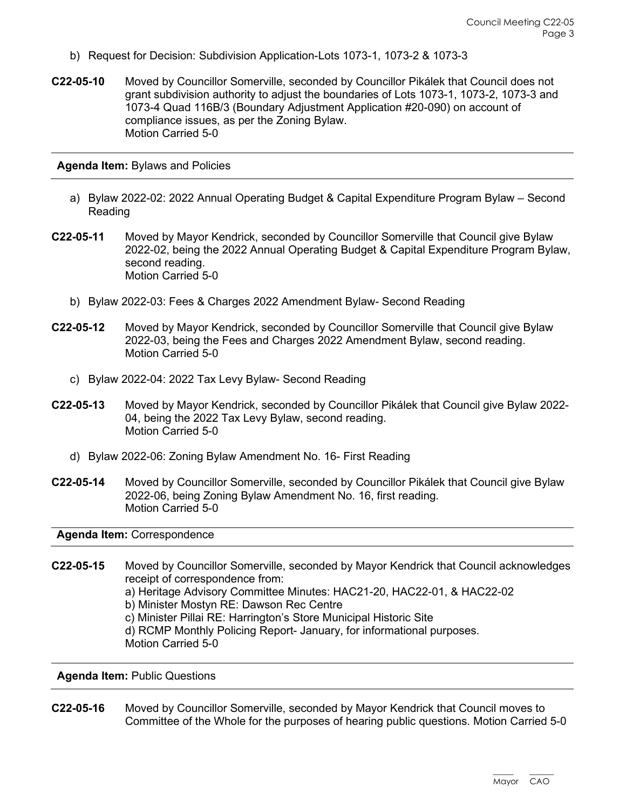- b) Request for Decision: Subdivision Application-Lots 1073-1, 1073-2 & 1073-3
- **C22-05-10** Moved by Councillor Somerville, seconded by Councillor Pikálek that Council does not grant subdivision authority to adjust the boundaries of Lots 1073-1, 1073-2, 1073-3 and 1073-4 Quad 116B/3 (Boundary Adjustment Application #20-090) on account of compliance issues, as per the Zoning Bylaw. Motion Carried 5-0

**Agenda Item:** Bylaws and Policies

- a) Bylaw 2022-02: 2022 Annual Operating Budget & Capital Expenditure Program Bylaw Second Reading
- **C22-05-11** Moved by Mayor Kendrick, seconded by Councillor Somerville that Council give Bylaw 2022-02, being the 2022 Annual Operating Budget & Capital Expenditure Program Bylaw, second reading. Motion Carried 5-0
	- b) Bylaw 2022-03: Fees & Charges 2022 Amendment Bylaw- Second Reading
- **C22-05-12** Moved by Mayor Kendrick, seconded by Councillor Somerville that Council give Bylaw 2022-03, being the Fees and Charges 2022 Amendment Bylaw, second reading. Motion Carried 5-0
	- c) Bylaw 2022-04: 2022 Tax Levy Bylaw- Second Reading
- **C22-05-13** Moved by Mayor Kendrick, seconded by Councillor Pikálek that Council give Bylaw 2022- 04, being the 2022 Tax Levy Bylaw, second reading. Motion Carried 5-0
	- d) Bylaw 2022-06: Zoning Bylaw Amendment No. 16- First Reading
- **C22-05-14** Moved by Councillor Somerville, seconded by Councillor Pikálek that Council give Bylaw 2022-06, being Zoning Bylaw Amendment No. 16, first reading. Motion Carried 5-0

**Agenda Item:** Correspondence

**C22-05-15** Moved by Councillor Somerville, seconded by Mayor Kendrick that Council acknowledges receipt of correspondence from: a) Heritage Advisory Committee Minutes: HAC21-20, HAC22-01, & HAC22-02 b) Minister Mostyn RE: Dawson Rec Centre c) Minister Pillai RE: Harrington's Store Municipal Historic Site d) RCMP Monthly Policing Report- January, for informational purposes. Motion Carried 5-0

**Agenda Item:** Public Questions

**C22-05-16** Moved by Councillor Somerville, seconded by Mayor Kendrick that Council moves to Committee of the Whole for the purposes of hearing public questions. Motion Carried 5-0